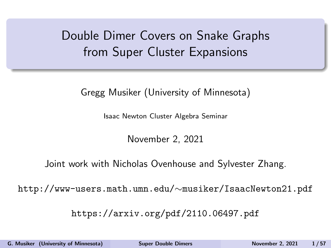# <span id="page-0-0"></span>Double Dimer Covers on Snake Graphs from Super Cluster Expansions

Gregg Musiker (University of Minnesota)

Isaac Newton Cluster Algebra Seminar

November 2, 2021

Joint work with Nicholas Ovenhouse and Sylvester Zhang.

http://www-users.math.umn.edu/∼musiker/IsaacNewton21.pdf

https://arxiv.org/pdf/2110.06497.pdf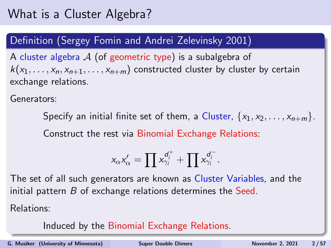## What is a Cluster Algebra?

#### Definition (Sergey Fomin and Andrei Zelevinsky 2001)

A cluster algebra  $\mathcal A$  (of geometric type) is a subalgebra of  $k(x_1, \ldots, x_n, x_{n+1}, \ldots, x_{n+m})$  constructed cluster by cluster by certain exchange relations.

Generators:

Specify an initial finite set of them, a Cluster,  $\{x_1, x_2, \ldots, x_{n+m}\}.$ Construct the rest via Binomial Exchange Relations:

$$
x_{\alpha}x'_{\alpha} = \prod x_{\gamma_i}^{d_i^+} + \prod x_{\gamma_i}^{d_i^-}.
$$

The set of all such generators are known as Cluster Variables, and the initial pattern  $B$  of exchange relations determines the Seed.

Relations:

Induced by the Binomial Exchange Relations.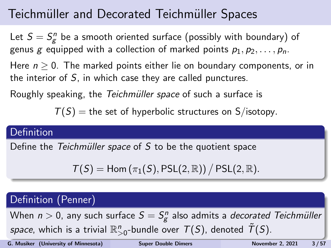# Teichmüller and Decorated Teichmüller Spaces

Let  $S = S_{\mathcal{g}}^n$  be a smooth oriented surface (possibly with boundary) of genus g equipped with a collection of marked points  $p_1, p_2, \ldots, p_n$ . Here  $n > 0$ . The marked points either lie on boundary components, or in the interior of  $S$ , in which case they are called punctures.

Roughly speaking, the Teichmüller space of such a surface is

 $T(S)$  = the set of hyperbolic structures on S/isotopy.

#### **Definition**

Define the Teichmüller space of  $S$  to be the quotient space

 $T(S) =$  Hom  $(\pi_1(S),$  PSL $(2,\mathbb{R})$ ) / PSL $(2,\mathbb{R})$ .

#### Definition (Penner)

When  $n > 0$ , any such surface  $S = S^n_{\mathcal{g}}$  also admits a *decorated Teichmüller space*, which is a trivial  $\mathbb{R}^n_{>0}$ -bundle over  $\mathcal{T}(S)$ , denoted  $\tilde{\mathcal{T}}(S)$ .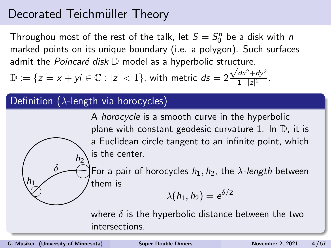### Decorated Teichmüller Theory

Throughou most of the rest of the talk, let  $S = S_0^n$  be a disk with  $n$ marked points on its unique boundary (i.e. a polygon). Such surfaces admit the *Poincaré disk*  $\mathbb D$  model as a hyperbolic structure.

 $\mathbb{D}:=\{z=x+yi\in\mathbb{C}:|z|<1\}$ , with metric  $ds=2\frac{\sqrt{dx^2+dy^2}}{1-|z|^2}$  $\frac{ax + ay}{1-|z|^2}$ .

#### Definition ( $\lambda$ -length via horocycles)

 $h_2$ 

A horocycle is a smooth curve in the hyperbolic plane with constant geodesic curvature 1. In  $\mathbb{D}$ , it is a Euclidean circle tangent to an infinite point, which is the center.

 $\frac{1}{2}$ For a pair of horocycles  $h_1, h_2$ , the  $\lambda$ -length between them is

 $\lambda(h_1,h_2)=\mathrm{e}^{\delta/2}$ 

where  $\delta$  is the hyperbolic distance between the two intersections.

δ

 $h_1$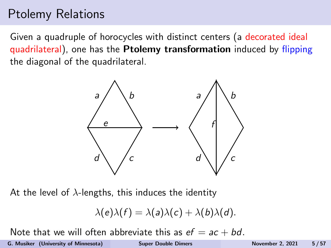## Ptolemy Relations

Given a quadruple of horocycles with distinct centers (a decorated ideal quadrilateral), one has the Ptolemy transformation induced by flipping the diagonal of the quadrilateral.



At the level of  $\lambda$ -lengths, this induces the identity

$$
\lambda(e)\lambda(f)=\lambda(a)\lambda(c)+\lambda(b)\lambda(d).
$$

Note that we will often abbreviate this as  $ef = ac + bd$ .

G. Musiker (University of Minnesota) [Super Double Dimers](#page-0-0) November 2, 2021 5/57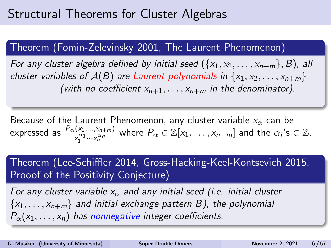## Structural Theorems for Cluster Algebras

#### Theorem (Fomin-Zelevinsky 2001, The Laurent Phenomenon)

For any cluster algebra defined by initial seed  $({x_1, x_2, \ldots, x_{n+m}}, B)$ , all cluster variables of  $A(B)$  are Laurent polynomials in  $\{x_1, x_2, \ldots, x_{n+m}\}$ (with no coefficient  $x_{n+1}, \ldots, x_{n+m}$  in the denominator).

Because of the Laurent Phenomenon, any cluster variable  $x_{\alpha}$  can be expressed as  $\frac{P_{\alpha}(x_1,...,x_{n+m})}{x_1^{\alpha_1}...x_n^{\alpha_n}}$  where  $P_{\alpha}\in\mathbb{Z}[x_1,\ldots,x_{n+m}]$  and the  $\alpha_i$ 's  $\in\mathbb{Z}$ .

Theorem (Lee-Schiffler 2014, Gross-Hacking-Keel-Kontsevich 2015, Prooof of the Positivity Conjecture)

For any cluster variable  $x_0$  and any initial seed (i.e. initial cluster  $\{x_1, \ldots, x_{n+m}\}\$  and initial exchange pattern B), the polynomial  $P_{\alpha}(x_1,\ldots,x_n)$  has nonnegative integer coefficients.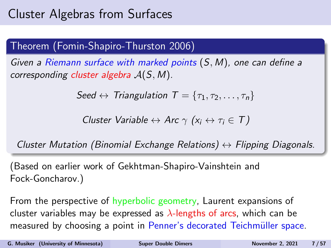# Cluster Algebras from Surfaces

#### Theorem (Fomin-Shapiro-Thurston 2006)

Given a Riemann surface with marked points (S, M), one can define a corresponding cluster algebra  $A(S, M)$ .

$$
Seed \leftrightarrow Triangulation \ \ T = \{\tau_1, \tau_2, \ldots, \tau_n\}
$$

Cluster Variable  $\leftrightarrow$  Arc  $\gamma$  ( $x_i \leftrightarrow \tau_i \in T$ )

Cluster Mutation (Binomial Exchange Relations)  $\leftrightarrow$  Flipping Diagonals.

(Based on earlier work of Gekhtman-Shapiro-Vainshtein and Fock-Goncharov.)

From the perspective of hyperbolic geometry, Laurent expansions of cluster variables may be expressed as  $\lambda$ -lengths of arcs, which can be measured by choosing a point in Penner's decorated Teichmüller space.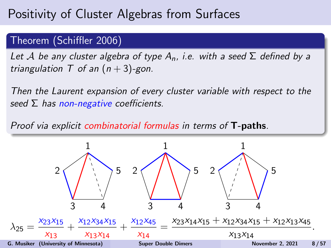#### Theorem (Schiffler 2006)

Let A be any cluster algebra of type  $A_n$ , i.e. with a seed  $\Sigma$  defined by a triangulation  $T$  of an  $(n+3)$ -gon.

Then the Laurent expansion of every cluster variable with respect to the seed  $\Sigma$  has non-negative coefficients.

Proof via explicit combinatorial formulas in terms of T-paths.

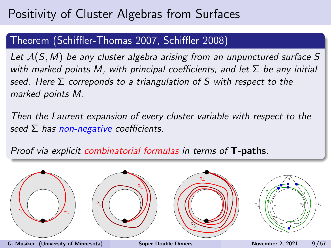#### Theorem (Schiffler-Thomas 2007, Schiffler 2008)

Let  $A(S, M)$  be any cluster algebra arising from an unpunctured surface S with marked points M, with principal coefficients, and let  $\Sigma$  be any initial seed. Here  $\Sigma$  correponds to a triangulation of S with respect to the marked points M.

Then the Laurent expansion of every cluster variable with respect to the seed  $\Sigma$  has non-negative coefficients.

Proof via explicit combinatorial formulas in terms of T-paths.

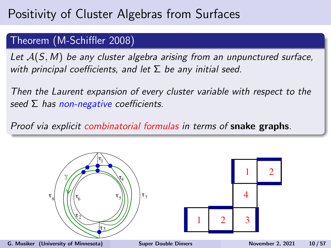#### Theorem (M-Schiffler 2008)

Let  $A(S, M)$  be any cluster algebra arising from an unpunctured surface, with principal coefficients, and let  $\Sigma$  be any initial seed.

Then the Laurent expansion of every cluster variable with respect to the seed  $\Sigma$  has non-negative coefficients.

Proof via explicit combinatorial formulas in terms of snake graphs.

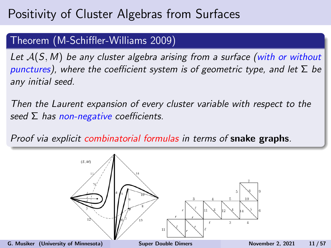#### Theorem (M-Schiffler-Williams 2009)

Let  $A(S, M)$  be any cluster algebra arising from a surface (with or without punctures), where the coefficient system is of geometric type, and let  $\Sigma$  be any initial seed.

Then the Laurent expansion of every cluster variable with respect to the seed  $\Sigma$  has non-negative coefficients.

Proof via explicit combinatorial formulas in terms of snake graphs.

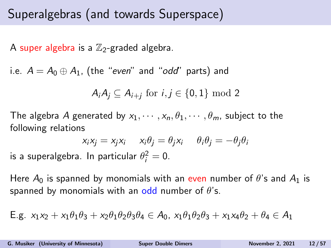## Superalgebras (and towards Superspace)

A super algebra is a  $\mathbb{Z}_2$ -graded algebra.

i.e.  $A = A_0 \oplus A_1$ , (the "even" and "odd" parts) and

$$
A_iA_j \subseteq A_{i+j} \text{ for } i,j \in \{0,1\} \text{ mod } 2
$$

The algebra A generated by  $x_1, \dots, x_n, \theta_1, \dots, \theta_m$ , subject to the following relations

$$
x_i x_j = x_j x_i \t x_i \theta_j = \theta_j x_i \t \theta_i \theta_j = -\theta_j \theta_i
$$

is a superalgebra. In particular  $\theta_i^2=0.$ 

Here  $A_0$  is spanned by monomials with an even number of  $\theta$ 's and  $A_1$  is spanned by monomials with an odd number of  $\theta$ 's.

E.g. 
$$
x_1x_2 + x_1\theta_1\theta_3 + x_2\theta_1\theta_2\theta_3\theta_4 \in A_0
$$
,  $x_1\theta_1\theta_2\theta_3 + x_1x_4\theta_2 + \theta_4 \in A_1$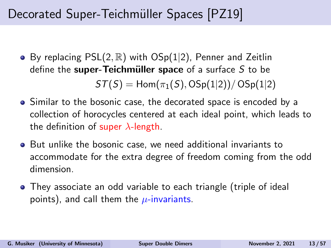# Decorated Super-Teichmüller Spaces [\[PZ19\]](#page-56-1)

• By replacing  $PSL(2, \mathbb{R})$  with  $OSp(1|2)$ , Penner and Zeitlin define the super-Teichmüller space of a surface  $S$  to be

 $ST(S) = Hom(\pi_1(S), OSp(1|2))/OSp(1|2)$ 

- Similar to the bosonic case, the decorated space is encoded by a collection of horocycles centered at each ideal point, which leads to the definition of super  $\lambda$ -length.
- But unlike the bosonic case, we need additional invariants to accommodate for the extra degree of freedom coming from the odd dimension.
- They associate an odd variable to each triangle (triple of ideal points), and call them the  $\mu$ -invariants.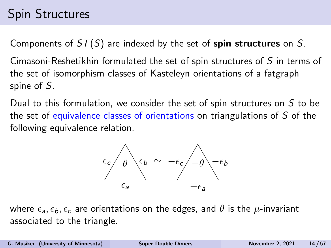# Spin Structures

Components of  $ST(S)$  are indexed by the set of spin structures on S.

Cimasoni-Reshetikhin formulated the set of spin structures of S in terms of the set of isomorphism classes of Kasteleyn orientations of a fatgraph spine of S.

Dual to this formulation, we consider the set of spin structures on S to be the set of equivalence classes of orientations on triangulations of S of the following equivalence relation.



where  $\epsilon_a, \epsilon_b, \epsilon_c$  are orientations on the edges, and  $\theta$  is the  $\mu$ -invariant associated to the triangle.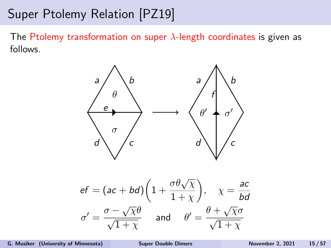The Ptolemy transformation on super  $\lambda$ -length coordinates is given as follows.



$$
ef = (ac + bd) \left( 1 + \frac{\sigma \theta \sqrt{\chi}}{1 + \chi} \right), \quad \chi = \frac{ac}{bd}
$$

$$
\sigma' = \frac{\sigma - \sqrt{\chi} \theta}{\sqrt{1 + \chi}} \quad \text{and} \quad \theta' = \frac{\theta + \sqrt{\chi}\sigma}{\sqrt{1 + \chi}}
$$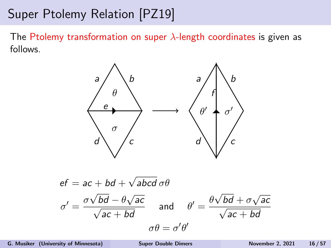The Ptolemy transformation on super  $\lambda$ -length coordinates is given as follows.



$$
ef = ac + bd + \sqrt{abcd} \space \sigma\theta
$$

$$
\sigma' = \frac{\sigma\sqrt{bd} - \theta\sqrt{ac}}{\sqrt{ac + bd}} \quad \text{and} \quad \theta' = \frac{\theta\sqrt{bd} + \sigma\sqrt{ac}}{\sqrt{ac + bd}}
$$

$$
\sigma\theta = \sigma'\theta'
$$

G. Musiker (University of Minnesota) [Super Double Dimers](#page-0-0) November 2, 2021 16/57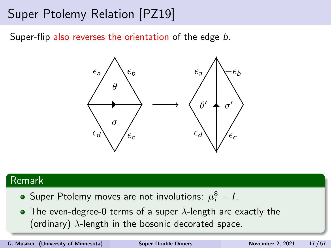Super-flip also reverses the orientation of the edge b.



#### Remark

- Super Ptolemy moves are not involutions:  $\mu_i^8 = I$ .
- The even-degree-0 terms of a super  $\lambda$ -length are exactly the (ordinary)  $\lambda$ -length in the bosonic decorated space.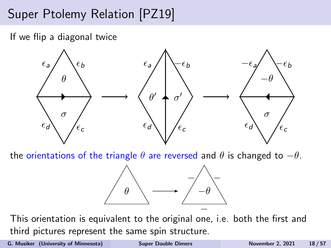If we flip a diagonal twice



the orientations of the triangle  $\theta$  are reversed and  $\theta$  is changed to  $-\theta$ .



This orientation is equivalent to the original one, i.e. both the first and third pictures represent the same spin structure.

G. Musiker (University of Minnesota) [Super Double Dimers](#page-0-0) November 2, 2021 18/57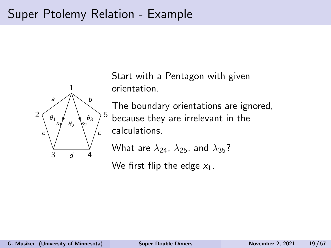## Super Ptolemy Relation - Example



Start with a Pentagon with given orientation.

The boundary orientations are ignored, because they are irrelevant in the calculations.

What are  $\lambda_{24}$ ,  $\lambda_{25}$ , and  $\lambda_{35}$ ?

We first flip the edge  $x_1$ .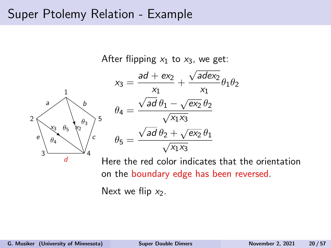### Super Ptolemy Relation - Example



Here the red color indicates that the orientation on the boundary edge has been reversed.

Next we flip  $x_2$ .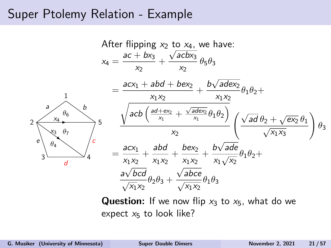### Super Ptolemy Relation - Example



**Question:** If we now flip  $x_3$  to  $x_5$ , what do we expect  $x_5$  to look like?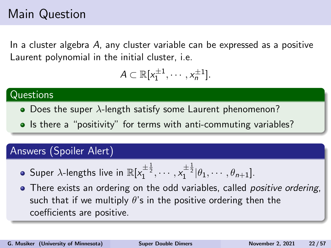## Main Question

In a cluster algebra  $A$ , any cluster variable can be expressed as a positive Laurent polynomial in the initial cluster, i.e.

$$
A\subset\mathbb{R}[x_1^{\pm 1},\cdots,x_n^{\pm 1}].
$$

#### **Questions**

- Does the super  $\lambda$ -length satisfy some Laurent phenomenon?
- Is there a "positivity" for terms with anti-commuting variables?

#### Answers (Spoiler Alert)

- Super  $\lambda$ -lengths live in  $\mathbb{R}[x_1^{\pm \frac{1}{2}}, \cdots, x_1^{\pm \frac{1}{2}}|\theta_1, \cdots, \theta_{n+1}].$
- There exists an ordering on the odd variables, called *positive ordering*, such that if we multiply  $\theta$ 's in the positive ordering then the coefficients are positive.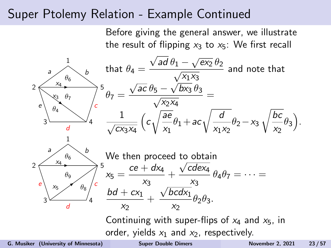### Super Ptolemy Relation - Example Continued

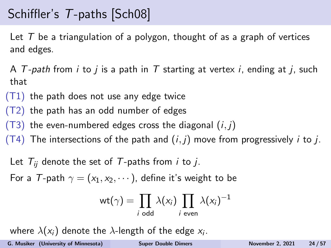# Schiffler's T-paths [\[Sch08\]](#page-56-2)

Let  $T$  be a triangulation of a polygon, thought of as a graph of vertices and edges.

A T-path from i to j is a path in T starting at vertex i, ending at j, such that

- $(T1)$  the path does not use any edge twice
- (T2) the path has an odd number of edges
- $(T3)$  the even-numbered edges cross the diagonal  $(i, j)$
- (T4) The intersections of the path and  $(i, j)$  move from progressively i to j.
	- Let  $T_{ii}$  denote the set of T-paths from *i* to *j*.

For a T-path  $\gamma = (x_1, x_2, \dots)$ , define it's weight to be

$$
\text{wt}(\gamma) = \prod_{i \text{ odd}} \lambda(x_i) \prod_{i \text{ even}} \lambda(x_i)^{-1}
$$

where  $\lambda(\mathsf{x}_i)$  denote the  $\lambda$ -length of the edge  $\mathsf{x}_i.$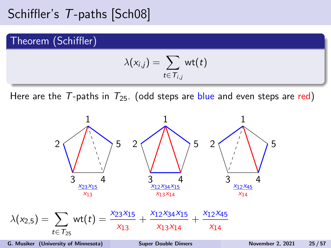## Schiffler's T-paths [\[Sch08\]](#page-56-2)

#### Theorem (Schiffler)

$$
\lambda(x_{i,j}) = \sum_{t \in \mathcal{T}_{i,j}} \mathsf{wt}(t)
$$

Here are the T-paths in  $T_{25}$ . (odd steps are blue and even steps are red)

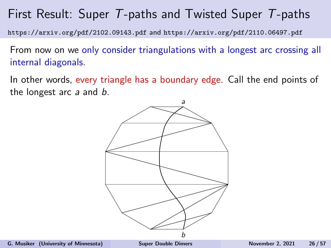## First Result: Super T-paths and Twisted Super T-paths

https://arxiv.org/pdf/2102.09143.pdf and https://arxiv.org/pdf/2110.06497.pdf

From now on we only consider triangulations with a longest arc crossing all internal diagonals.

In other words, every triangle has a boundary edge. Call the end points of the longest arc a and b.

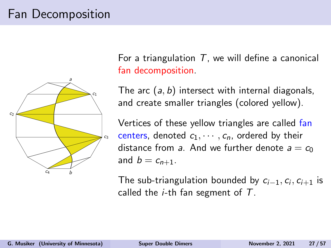# Fan Decomposition



For a triangulation  $T$ , we will define a canonical fan decomposition.

The arc  $(a, b)$  intersect with internal diagonals, and create smaller triangles (colored yellow).

Vertices of these yellow triangles are called fan centers, denoted  $c_1, \dots, c_n$ , ordered by their distance from a. And we further denote  $a = c_0$ and  $b = c_{n+1}$ .

The sub-triangulation bounded by  $c_{i-1}, c_i, c_{i+1}$  is called the  $i$ -th fan segment of  $T$ .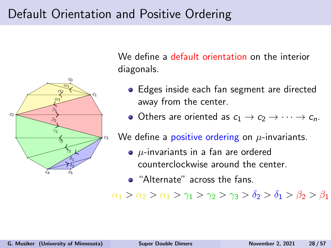## Default Orientation and Positive Ordering



We define a default orientation on the interior diagonals.

- Edges inside each fan segment are directed away from the center.
- Others are oriented as  $c_1 \rightarrow c_2 \rightarrow \cdots \rightarrow c_n$ .

We define a positive ordering on  $\mu$ -invariants.

- $\bullet$   $\mu$ -invariants in a fan are ordered counterclockwise around the center.
- "Alternate" across the fans.

 $\alpha_1 > \alpha_2 > \alpha_3 > \gamma_1 > \gamma_2 > \gamma_3 > \delta_2 > \delta_1 > \beta_2 > \beta_1$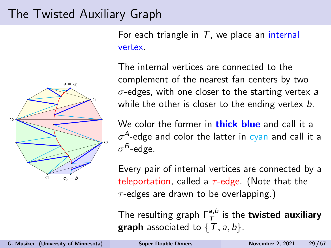### The Twisted Auxiliary Graph

For each triangle in  $T$ , we place an internal vertex.



The internal vertices are connected to the complement of the nearest fan centers by two  $\sigma$ -edges, with one closer to the starting vertex a while the other is closer to the ending vertex  $b$ .

We color the former in **thick blue** and call it a  $\sigma^A$ -edge and color the latter in cyan and call it a  $\sigma^{\mathcal{B}}$ -edge.

Every pair of internal vertices are connected by a teleportation, called a  $\tau$ -edge. (Note that the  $\tau$ -edges are drawn to be overlapping.)

The resulting graph  $\Gamma^{a,b}_{\mathcal{T}}$  is the **twisted auxiliary graph** associated to  $\{T, a, b\}$ .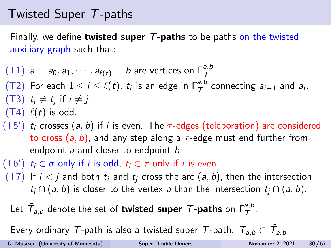## Twisted Super T-paths

Finally, we define **twisted super**  $T$ **-paths** to be paths on the twisted auxiliary graph such that:

 $(T1)$   $a = a_0, a_1, \cdots, a_{\ell(t)} = b$  are vertices on  $\Gamma^{a,b}_T$ . (T2) For each  $1 \le i \le \ell(t)$ ,  $t_i$  is an edge in  $\Gamma^{a,b}_{\mathcal{T}}$  connecting  $a_{i-1}$  and  $a_i$ . (T3)  $t_i \neq t_j$  if  $i \neq j$ .  $(T4)$   $\ell(t)$  is odd.

- (T5')  $t_i$  crosses (a, b) if i is even. The  $\tau$ -edges (teleporation) are considered to cross  $(a, b)$ , and any step along a  $\tau$ -edge must end further from endpoint a and closer to endpoint b.
- (T6')  $t_i \in \sigma$  only if i is odd,  $t_i \in \tau$  only if i is even.
- $(T7)$  If  $i < j$  and both  $t_i$  and  $t_i$  cross the arc  $(a, b)$ , then the intersection  $t_i \cap (a, b)$  is closer to the vertex a than the intersection  $t_i \cap (a, b)$ .

Let  $\tilde{\mathcal{T}}_{a,b}$  denote the set of **twisted super**  $\mathcal{T}\text{-paths}$  on  $\mathsf{\Gamma}_\mathcal{T}^{a,b}$ .

Every ordinary  $\mathcal T$ -path is also a twisted super  $\mathcal T$ -path:  $\mathcal T_{a,b}\subset \tilde{\mathcal T}_{a,b}$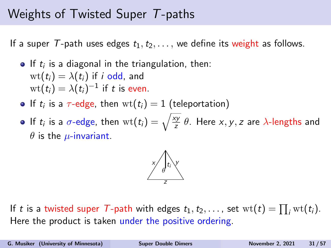### Weights of Twisted Super T-paths

If a super T-path uses edges  $t_1, t_2, \ldots$ , we define its weight as follows.

- If  $t_i$  is a diagonal in the triangulation, then:  $wt(t_i) = \lambda(t_i)$  if *i* odd, and  $\mathrm{wt}(t_i)=\lambda(t_i)^{-1}$  if t is even.
- If  $t_i$  is a  $\tau$ -edge, then  $\operatorname{wt}(t_i) = 1$  (teleportation)
- If  $t_i$  is a  $\sigma$ -edge, then  $\mathrm{wt}(t_i) = \sqrt{\frac{xy}{z}} \; \theta.$  Here  $x,y,z$  are  $\lambda$ -lengths and  $\theta$  is the  $\mu$ -invariant.



If t is a twisted super T-path with edges  $t_1, t_2, \ldots$ , set  $\text{wt}(t) = \prod_i \text{wt}(t_i)$ . Here the product is taken under the positive ordering.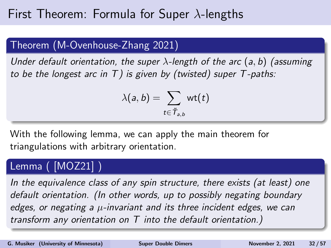## First Theorem: Formula for Super  $\lambda$ -lengths

#### Theorem (M-Ovenhouse-Zhang 2021)

Under default orientation, the super  $\lambda$ -length of the arc  $(a, b)$  (assuming to be the longest arc in T) is given by (twisted) super  $T$ -paths:

$$
\lambda(a,b)=\sum_{t\in \tilde{\mathcal{T}}_{a,b}}\mathsf{wt}(t)
$$

With the following lemma, we can apply the main theorem for triangulations with arbitrary orientation.

#### Lemma ( [\[MOZ21\]](#page-56-3) )

In the equivalence class of any spin structure, there exists (at least) one default orientation. (In other words, up to possibly negating boundary edges, or negating a  $\mu$ -invariant and its three incident edges, we can transform any orientation on T into the default orientation.)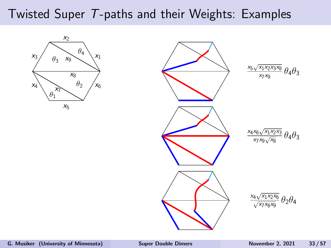## Twisted Super T-paths and their Weights: Examples



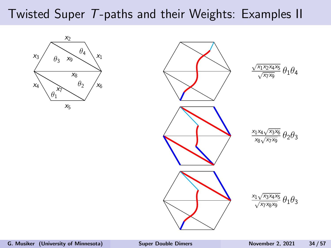## Twisted Super T-paths and their Weights: Examples II



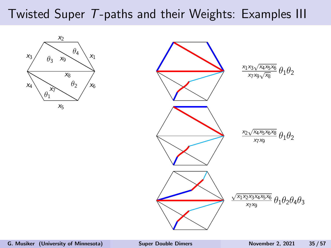## Twisted Super T-paths and their Weights: Examples III



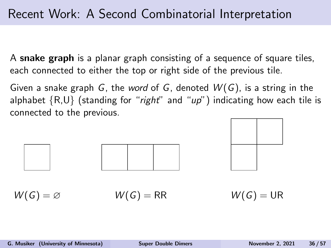A snake graph is a planar graph consisting of a sequence of square tiles, each connected to either the top or right side of the previous tile.

Given a snake graph G, the word of G, denoted  $W(G)$ , is a string in the alphabet  $\{R, U\}$  (standing for "right" and "up") indicating how each tile is connected to the previous.

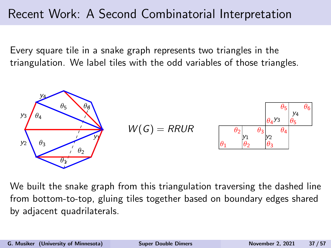Every square tile in a snake graph represents two triangles in the triangulation. We label tiles with the odd variables of those triangles.



We built the snake graph from this triangulation traversing the dashed line from bottom-to-top, gluing tiles together based on boundary edges shared by adjacent quadrilaterals.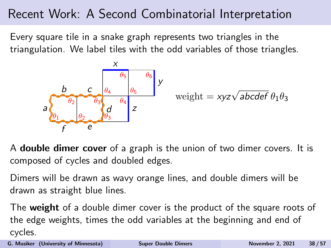Every square tile in a snake graph represents two triangles in the triangulation. We label tiles with the odd variables of those triangles.



A double dimer cover of a graph is the union of two dimer covers. It is composed of cycles and doubled edges.

Dimers will be drawn as wavy orange lines, and double dimers will be drawn as straight blue lines.

The weight of a double dimer cover is the product of the square roots of the edge weights, times the odd variables at the beginning and end of cycles.

G. Musiker (University of Minnesota) [Super Double Dimers](#page-0-0) November 2, 2021 38/57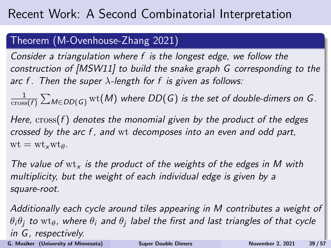#### Theorem (M-Ovenhouse-Zhang 2021)

Consider a triangulation where f is the longest edge, we follow the construction of [\[MSW11\]](#page-56-4) to build the snake graph G corresponding to the arc f. Then the super  $\lambda$ -length for f is given as follows:

1  $\frac{1}{\mathrm{cross}(f)}\sum_{M\in DD(\mathsf{G})}\mathrm{wt}(M)$  where  $DD(\mathsf{G})$  is the set of double-dimers on  $\mathsf{G}.$ 

Here, cross(f) denotes the monomial given by the product of the edges crossed by the arc f , and wt decomposes into an even and odd part,  $wt = wt_vwt_a$ .

The value of  $wt_x$  is the product of the weights of the edges in M with multiplicity, but the weight of each individual edge is given by a square-root.

Additionally each cycle around tiles appearing in M contributes a weight of  $\theta_i\theta_j$  to  $\text{wt}_\theta$ , where  $\theta_i$  and  $\theta_j$  label the first and last triangles of that cycle in G, respectively. G. Musiker (University of Minnesota) [Super Double Dimers](#page-0-0) November 2, 2021 39/57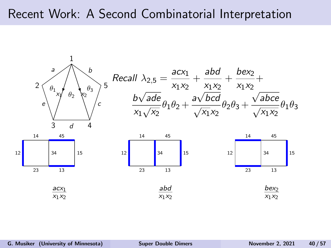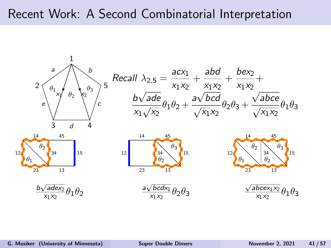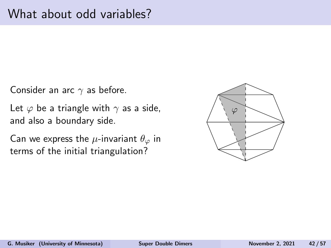Consider an arc  $\gamma$  as before.

Let  $\varphi$  be a triangle with  $\gamma$  as a side, and also a boundary side.

Can we express the  $\mu$ -invariant  $\theta_{\varphi}$  in terms of the initial triangulation?

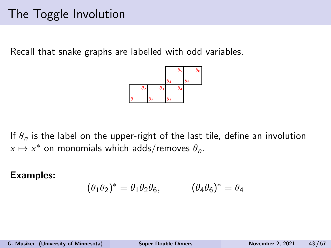## The Toggle Involution

Recall that snake graphs are labelled with odd variables.



If  $\theta_n$  is the label on the upper-right of the last tile, define an involution  $x \mapsto x^*$  on monomials which adds/removes  $\theta_n$ .

#### Examples:

$$
(\theta_1 \theta_2)^* = \theta_1 \theta_2 \theta_6, \qquad (\theta_4 \theta_6)^* = \theta_4
$$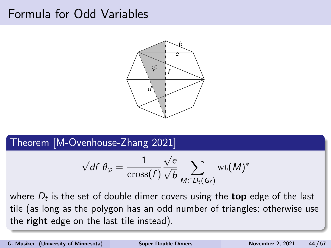### Formula for Odd Variables



Theorem [M-Ovenhouse-Zhang 2021]

$$
\sqrt{df} \theta_{\varphi} = \frac{1}{\text{cross}(f)} \frac{\sqrt{e}}{\sqrt{b}} \sum_{M \in D_t(G_f)} \text{wt}(M)^*
$$

where  $D_t$  is the set of double dimer covers using the  $\mathop{\sf top}$  edge of the last tile (as long as the polygon has an odd number of triangles; otherwise use the right edge on the last tile instead).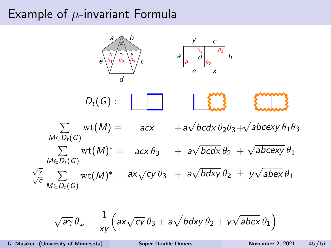## Example of  $\mu$ -invariant Formula



$$
\sqrt{a\gamma}\,\theta_{\varphi}=\frac{1}{xy}\Big(a x \sqrt{cy}\,\theta_3+a \sqrt{bdxy}\,\theta_2+y \sqrt{abex}\,\theta_1\Big)
$$

G. Musiker (University of Minnesota) [Super Double Dimers](#page-0-0) November 2, 2021 45 / 57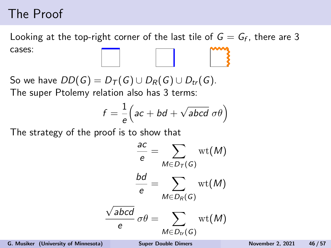## The Proof

Looking at the top-right corner of the last tile of  $G=G_f$ , there are 3 cases:

So we have  $DD(G) = D_T(G) \cup D_R(G) \cup D_{tr}(G)$ . The super Ptolemy relation also has 3 terms:

$$
f = \frac{1}{e} \Big( ac + bd + \sqrt{abcd} \ \sigma \theta \Big)
$$

The strategy of the proof is to show that

$$
\frac{ac}{e} = \sum_{M \in D_T(G)} \text{wt}(M)
$$

$$
\frac{bd}{e} = \sum_{M \in D_R(G)} \text{wt}(M)
$$

$$
\frac{\sqrt{abcd}}{e} \sigma \theta = \sum_{M \in D_{tr}(G)} \text{wt}(M)
$$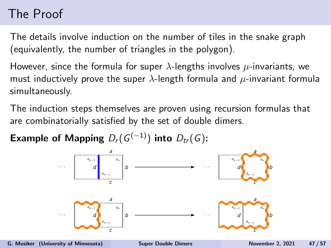# The Proof

The details involve induction on the number of tiles in the snake graph (equivalently, the number of triangles in the polygon).

However, since the formula for super  $\lambda$ -lengths involves  $\mu$ -invariants, we must inductively prove the super  $\lambda$ -length formula and  $\mu$ -invariant formula simultaneously.

The induction steps themselves are proven using recursion formulas that are combinatorially satisfied by the set of double dimers.

Example of Mapping  $D_r(G^{(-1)})$  into  $D_{tr}(G)$ :

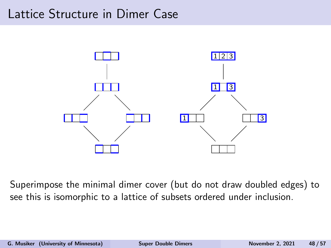### Lattice Structure in Dimer Case



Superimpose the minimal dimer cover (but do not draw doubled edges) to see this is isomorphic to a lattice of subsets ordered under inclusion.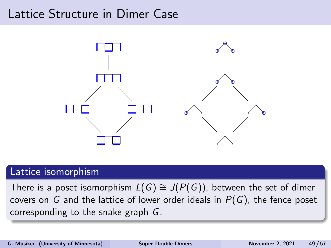### Lattice Structure in Dimer Case



#### Lattice isomorphism

There is a poset isomorphism  $L(G) \cong J(P(G))$ , between the set of dimer covers on G and the lattice of lower order ideals in  $P(G)$ , the fence poset corresponding to the snake graph G.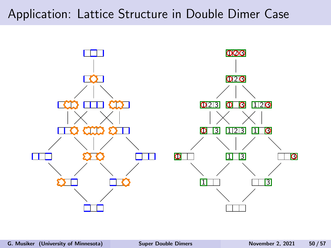### Application: Lattice Structure in Double Dimer Case

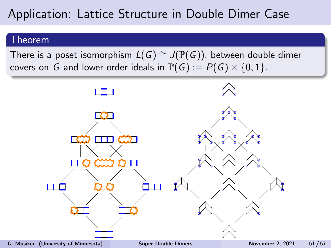## Application: Lattice Structure in Double Dimer Case

#### Theorem

There is a poset isomorphism  $L(G) \cong J(\mathbb{P}(G))$ , between double dimer covers on G and lower order ideals in  $\mathbb{P}(G) := P(G) \times \{0, 1\}.$ 

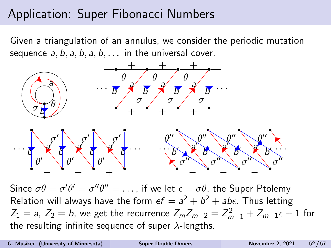## Application: Super Fibonacci Numbers

Given a triangulation of an annulus, we consider the periodic mutation sequence  $a, b, a, b, a, b, \ldots$  in the universal cover.



Since  $\sigma\theta = \sigma'\theta' = \sigma''\theta'' = \ldots$ , if we let  $\epsilon = \sigma\theta$ , the Super Ptolemy Relation will always have the form  $ef = a^2 + b^2 + ab\epsilon$ . Thus letting  $Z_1 =$  a,  $Z_2 =$  b, we get the recurrence  $Z_m Z_{m-2} = Z_{m-1}^2 + Z_{m-1} \epsilon + 1$  for the resulting infinite sequence of super  $\lambda$ -lengths.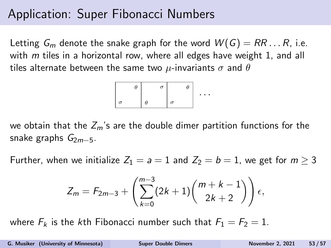## Application: Super Fibonacci Numbers

Letting  $G_m$  denote the snake graph for the word  $W(G) = RR \dots R$ , i.e. with  $m$  tiles in a horizontal row, where all edges have weight 1, and all tiles alternate between the same two  $\mu$ -invariants  $\sigma$  and  $\theta$ 

| θ        | $\sigma$ | θ        |   |
|----------|----------|----------|---|
|          |          |          | ٠ |
| $\sigma$ | θ        | $\sigma$ |   |

we obtain that the  $Z_m$ 's are the double dimer partition functions for the snake graphs  $G_{2m-5}$ .

Further, when we initialize  $Z_1 = a = 1$  and  $Z_2 = b = 1$ , we get for  $m \geq 3$ 

$$
Z_m = F_{2m-3} + \left(\sum_{k=0}^{m-3} (2k+1) \binom{m+k-1}{2k+2}\right) \epsilon,
$$

where  $F_k$  is the kth Fibonacci number such that  $F_1 = F_2 = 1$ .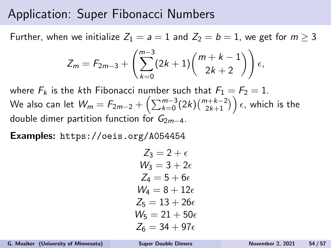### Application: Super Fibonacci Numbers

Further, when we initialize  $Z_1 = a = 1$  and  $Z_2 = b = 1$ , we get for  $m \ge 3$ 

$$
Z_m = F_{2m-3} + \left(\sum_{k=0}^{m-3} (2k+1) \binom{m+k-1}{2k+2}\right) \epsilon,
$$

where  $F_k$  is the kth Fibonacci number such that  $F_1 = F_2 = 1$ . We also can let  $\mathcal{W}_m = F_{2m-2} + \left(\sum_{k=0}^{m-3} (2k) \binom{m+k-2}{2k+1}\right) \epsilon$ , which is the double dimer partition function for  $G_{2m-4}$ .

Examples: <https://oeis.org/A054454>

$$
Z_3 = 2 + \epsilon
$$
  
\n
$$
W_3 = 3 + 2\epsilon
$$
  
\n
$$
Z_4 = 5 + 6\epsilon
$$
  
\n
$$
W_4 = 8 + 12\epsilon
$$
  
\n
$$
Z_5 = 13 + 26\epsilon
$$
  
\n
$$
W_5 = 21 + 50\epsilon
$$
  
\n
$$
Z_6 = 34 + 97\epsilon
$$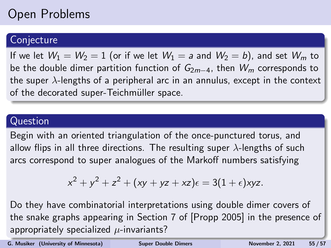# Open Problems

#### **Conjecture**

If we let  $W_1 = W_2 = 1$  (or if we let  $W_1 = a$  and  $W_2 = b$ ), and set  $W_m$  to be the double dimer partition function of  $G_{2m-4}$ , then  $W_m$  corresponds to the super  $\lambda$ -lengths of a peripheral arc in an annulus, except in the context of the decorated super-Teichmüller space.

#### Question

Begin with an oriented triangulation of the once-punctured torus, and allow flips in all three directions. The resulting super  $\lambda$ -lengths of such arcs correspond to super analogues of the Markoff numbers satisfying

$$
x^{2} + y^{2} + z^{2} + (xy + yz + xz)\epsilon = 3(1 + \epsilon)xyz.
$$

Do they have combinatorial interpretations using double dimer covers of the snake graphs appearing in Section 7 of [Propp 2005] in the presence of appropriately specialized  $\mu$ -invariants?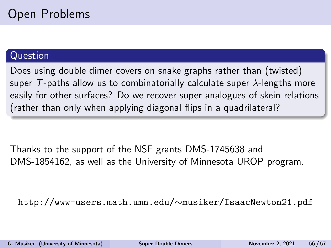#### Question

Does using double dimer covers on snake graphs rather than (twisted) super T-paths allow us to combinatorially calculate super  $\lambda$ -lengths more easily for other surfaces? Do we recover super analogues of skein relations (rather than only when applying diagonal flips in a quadrilateral?

Thanks to the support of the NSF grants DMS-1745638 and DMS-1854162, as well as the University of Minnesota UROP program.

http://www-users.math.umn.edu/∼musiker/IsaacNewton21.pdf